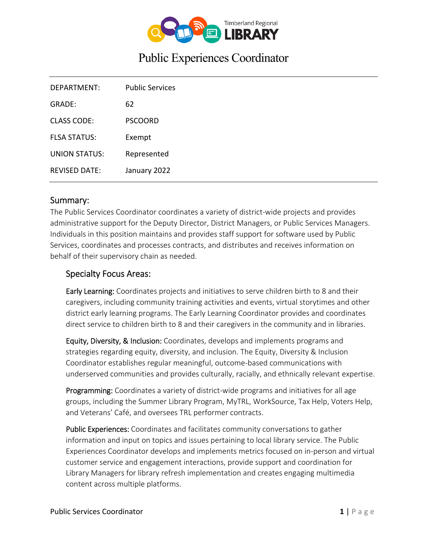

# Public Experiences Coordinator

| DEPARTMENT:          | <b>Public Services</b> |
|----------------------|------------------------|
| GRADE:               | 62                     |
| <b>CLASS CODE:</b>   | <b>PSCOORD</b>         |
| <b>FLSA STATUS:</b>  | Exempt                 |
| <b>UNION STATUS:</b> | Represented            |
| <b>REVISED DATE:</b> | January 2022           |

#### Summary:

The Public Services Coordinator coordinates a variety of district-wide projects and provides administrative support for the Deputy Director, District Managers, or Public Services Managers. Individuals in this position maintains and provides staff support for software used by Public Services, coordinates and processes contracts, and distributes and receives information on behalf of their supervisory chain as needed.

#### Specialty Focus Areas:

Early Learning: Coordinates projects and initiatives to serve children birth to 8 and their caregivers, including community training activities and events, virtual storytimes and other district early learning programs. The Early Learning Coordinator provides and coordinates direct service to children birth to 8 and their caregivers in the community and in libraries.

Equity, Diversity, & Inclusion: Coordinates, develops and implements programs and strategies regarding equity, diversity, and inclusion. The Equity, Diversity & Inclusion Coordinator establishes regular meaningful, outcome‐based communications with underserved communities and provides culturally, racially, and ethnically relevant expertise.

Programming: Coordinates a variety of district-wide programs and initiatives for all age groups, including the Summer Library Program, MyTRL, WorkSource, Tax Help, Voters Help, and Veterans' Café, and oversees TRL performer contracts.

Public Experiences: Coordinates and facilitates community conversations to gather information and input on topics and issues pertaining to local library service. The Public Experiences Coordinator develops and implements metrics focused on in‐person and virtual customer service and engagement interactions, provide support and coordination for Library Managers for library refresh implementation and creates engaging multimedia content across multiple platforms.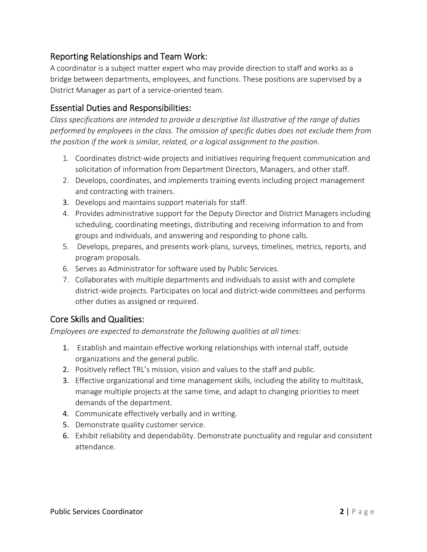# Reporting Relationships and Team Work:

A coordinator is a subject matter expert who may provide direction to staff and works as a bridge between departments, employees, and functions. These positions are supervised by a District Manager as part of a service‐oriented team.

# Essential Duties and Responsibilities:

*Class specifications are intended to provide a descriptive list illustrative of the range of duties performed by employees in the class. The omission of specific duties does not exclude them from the position if the work is similar, related, or a logical assignment to the position.* 

- 1. Coordinates district-wide projects and initiatives requiring frequent communication and solicitation of information from Department Directors, Managers, and other staff.
- 2. Develops, coordinates, and implements training events including project management and contracting with trainers.
- 3. Develops and maintains support materials for staff.
- 4. Provides administrative support for the Deputy Director and District Managers including scheduling, coordinating meetings, distributing and receiving information to and from groups and individuals, and answering and responding to phone calls.
- 5. Develops, prepares, and presents work‐plans, surveys, timelines, metrics, reports, and program proposals.
- 6. Serves as Administrator for software used by Public Services.
- 7. Collaborates with multiple departments and individuals to assist with and complete district‐wide projects. Participates on local and district‐wide committees and performs other duties as assigned or required.

## Core Skills and Qualities:

*Employees are expected to demonstrate the following qualities at all times:* 

- 1. Establish and maintain effective working relationships with internal staff, outside organizations and the general public.
- 2. Positively reflect TRL's mission, vision and values to the staff and public.
- 3. Effective organizational and time management skills, including the ability to multitask, manage multiple projects at the same time, and adapt to changing priorities to meet demands of the department.
- 4. Communicate effectively verbally and in writing.
- 5. Demonstrate quality customer service.
- 6. Exhibit reliability and dependability. Demonstrate punctuality and regular and consistent attendance.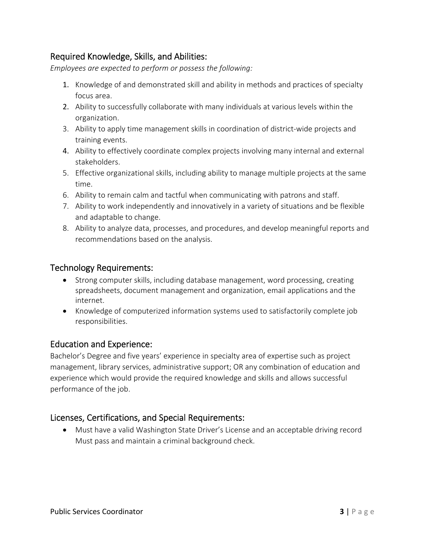# Required Knowledge, Skills, and Abilities:

*Employees are expected to perform or possess the following:* 

- 1. Knowledge of and demonstrated skill and ability in methods and practices of specialty focus area.
- 2. Ability to successfully collaborate with many individuals at various levels within the organization.
- 3. Ability to apply time management skills in coordination of district-wide projects and training events.
- 4. Ability to effectively coordinate complex projects involving many internal and external stakeholders.
- 5. Effective organizational skills, including ability to manage multiple projects at the same time.
- 6. Ability to remain calm and tactful when communicating with patrons and staff.
- 7. Ability to work independently and innovatively in a variety of situations and be flexible and adaptable to change.
- 8. Ability to analyze data, processes, and procedures, and develop meaningful reports and recommendations based on the analysis.

#### Technology Requirements:

- Strong computer skills, including database management, word processing, creating spreadsheets, document management and organization, email applications and the internet.
- Knowledge of computerized information systems used to satisfactorily complete job responsibilities.

## Education and Experience:

Bachelor's Degree and five years' experience in specialty area of expertise such as project management, library services, administrative support; OR any combination of education and experience which would provide the required knowledge and skills and allows successful performance of the job.

## Licenses, Certifications, and Special Requirements:

 Must have a valid Washington State Driver's License and an acceptable driving record Must pass and maintain a criminal background check.